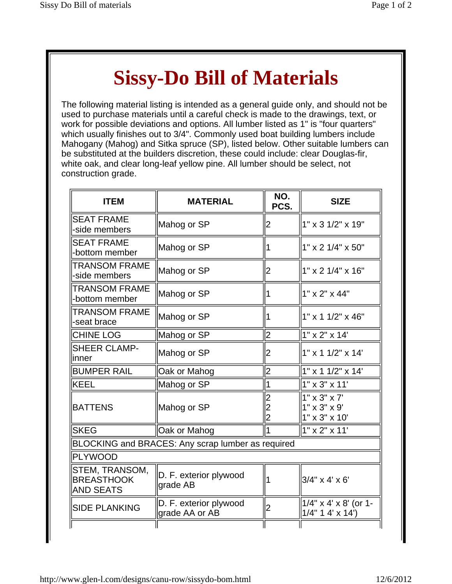## **Sissy-Do Bill of Materials**

The following material listing is intended as a general guide only, and should not be used to purchase materials until a careful check is made to the drawings, text, or work for possible deviations and options. All lumber listed as 1" is "four quarters" which usually finishes out to 3/4". Commonly used boat building lumbers include Mahogany (Mahog) and Sitka spruce (SP), listed below. Other suitable lumbers can be substituted at the builders discretion, these could include: clear Douglas-fir, white oak, and clear long-leaf yellow pine. All lumber should be select, not construction grade.

| <b>ITEM</b>                                             | <b>MATERIAL</b>                                   | NO.<br>PCS.                           | <b>SIZE</b>                                                                       |
|---------------------------------------------------------|---------------------------------------------------|---------------------------------------|-----------------------------------------------------------------------------------|
| <b>SEAT FRAME</b><br>-side members                      | Mahog or SP                                       | 2                                     | $1" \times 3 \frac{1}{2" \times 19"$                                              |
| <b>SEAT FRAME</b><br>-bottom member                     | Mahog or SP                                       | 1                                     | $1" \times 2 \frac{1}{4" \times 50"$                                              |
| <b>TRANSOM FRAME</b><br>-side members                   | Mahog or SP                                       | 2                                     | $1"$ x 2 $1/4"$ x $16"$                                                           |
| <b>TRANSOM FRAME</b><br>-bottom member                  | Mahog or SP                                       | 1                                     | $1" \times 2" \times 44"$                                                         |
| <b>TRANSOM FRAME</b><br>-seat brace                     | Mahog or SP                                       | 1                                     | $1"$ x 1 1/2" x 46"                                                               |
| <b>CHINE LOG</b>                                        | Mahog or SP                                       | $\overline{2}$                        | 1" x 2" x 14'                                                                     |
| <b>SHEER CLAMP-</b><br>linner                           | Mahog or SP                                       | 2                                     | $1"$ x 1 1/2" x 14"                                                               |
| <b>BUMPER RAIL</b>                                      | Oak or Mahog                                      | $\overline{2}$                        | 1" x 1 1/2" x 14'                                                                 |
| <b>KEEL</b>                                             | Mahog or SP                                       | 1                                     | 1" x 3" x 11'                                                                     |
| <b>BATTENS</b>                                          | Mahog or SP                                       | 2<br>$\overline{c}$<br>$\overline{2}$ | $1" \times 3" \times 7'$<br>$1" \times 3" \times 9'$<br>$1" \times 3" \times 10'$ |
| <b>SKEG</b>                                             | Oak or Mahog                                      |                                       | 1" x 2" x 11'                                                                     |
|                                                         | BLOCKING and BRACES: Any scrap lumber as required |                                       |                                                                                   |
| <b>PLYWOOD</b>                                          |                                                   |                                       |                                                                                   |
| STEM, TRANSOM,<br><b>BREASTHOOK</b><br><b>AND SEATS</b> | D. F. exterior plywood<br>grade AB                | 1                                     | $3/4"$ x 4' x 6'                                                                  |
| <b>SIDE PLANKING</b>                                    | D. F. exterior plywood<br>grade AA or AB          | $\overline{2}$                        | $1/4$ " x 4' x 8' (or 1-<br>$1/4$ " 1 4' x 14')                                   |
|                                                         |                                                   |                                       |                                                                                   |